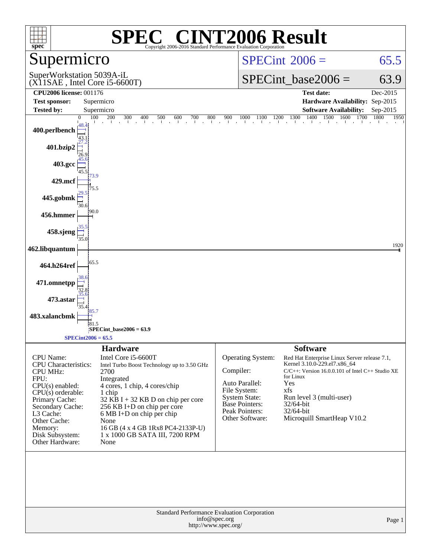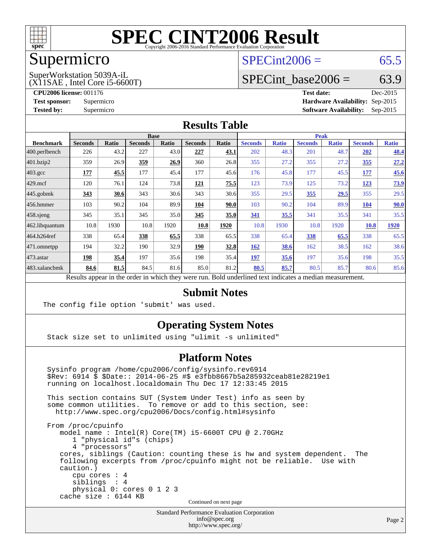

## Supermicro

#### $SPECint2006 = 65.5$  $SPECint2006 = 65.5$

#### (X11SAE , Intel Core i5-6600T) SuperWorkstation 5039A-iL

SPECint base2006 =  $63.9$ 

**[CPU2006 license:](http://www.spec.org/auto/cpu2006/Docs/result-fields.html#CPU2006license)** 001176 **[Test date:](http://www.spec.org/auto/cpu2006/Docs/result-fields.html#Testdate)** Dec-2015

**[Test sponsor:](http://www.spec.org/auto/cpu2006/Docs/result-fields.html#Testsponsor)** Supermicro **[Hardware Availability:](http://www.spec.org/auto/cpu2006/Docs/result-fields.html#HardwareAvailability)** Sep-2015 **[Tested by:](http://www.spec.org/auto/cpu2006/Docs/result-fields.html#Testedby)** Supermicro **Supermicro [Software Availability:](http://www.spec.org/auto/cpu2006/Docs/result-fields.html#SoftwareAvailability)** Sep-2015

#### **[Results Table](http://www.spec.org/auto/cpu2006/Docs/result-fields.html#ResultsTable)**

|                                                                                                          | <b>Base</b>    |              |                |              |                |       |                | <b>Peak</b>  |                |              |                |              |  |
|----------------------------------------------------------------------------------------------------------|----------------|--------------|----------------|--------------|----------------|-------|----------------|--------------|----------------|--------------|----------------|--------------|--|
| <b>Benchmark</b>                                                                                         | <b>Seconds</b> | <b>Ratio</b> | <b>Seconds</b> | <b>Ratio</b> | <b>Seconds</b> | Ratio | <b>Seconds</b> | <b>Ratio</b> | <b>Seconds</b> | <b>Ratio</b> | <b>Seconds</b> | <b>Ratio</b> |  |
| $ 400$ .perlbench                                                                                        | 226            | 43.2         | 227            | 43.0         | 227            | 43.1  | 202            | 48.3         | 201            | 48.7         | 202            | 48.4         |  |
| 401.bzip2                                                                                                | 359            | 26.9         | 359            | 26.9         | 360            | 26.8  | 355            | 27.2         | 355            | 27.2         | <u>355</u>     | 27.2         |  |
| $403.\text{gcc}$                                                                                         | 177            | 45.5         | 177            | 45.4         | 177            | 45.6  | 176            | 45.8         | 177            | 45.5         | 177            | 45.6         |  |
| $429$ .mcf                                                                                               | 120            | 76.1         | 124            | 73.8         | 121            | 75.5  | 123            | 73.9         | 125            | 73.2         | 123            | <u>73.9</u>  |  |
| $445$ .gobmk                                                                                             | 343            | 30.6         | 343            | 30.6         | 343            | 30.6  | 355            | 29.5         | 355            | <u>29.5</u>  | 355            | 29.5         |  |
| $456.$ hmmer                                                                                             | 103            | 90.2         | 104            | 89.9         | 104            | 90.0  | 103            | 90.2         | 104            | 89.9         | 104            | 90.0         |  |
| $458$ .sjeng                                                                                             | 345            | 35.1         | 345            | 35.0         | 345            | 35.0  | 341            | 35.5         | 341            | 35.5         | 341            | 35.5         |  |
| 462.libquantum                                                                                           | 10.8           | 1930         | 10.8           | 1920         | 10.8           | 1920  | 10.8           | 1930         | 10.8           | 1920         | 10.8           | 1920         |  |
| 464.h264ref                                                                                              | 338            | 65.4         | 338            | 65.5         | 338            | 65.5  | 338            | 65.4         | 338            | 65.5         | 338            | 65.5         |  |
| $ 471$ .omnetpp                                                                                          | 194            | 32.2         | 190            | 32.9         | 190            | 32.8  | <b>162</b>     | 38.6         | 162            | 38.5         | 162            | 38.6         |  |
| $473$ . astar                                                                                            | 198            | 35.4         | 197            | 35.6         | 198            | 35.4  | 197            | 35.6         | 197            | 35.6         | 198            | 35.5         |  |
| 483.xalancbmk                                                                                            | 84.6           | 81.5         | 84.5           | 81.6         | 85.0           | 81.2  | 80.5           | 85.7         | 80.5           | 85.7         | 80.6           | 85.6         |  |
| Results appear in the order in which they were run. Bold underlined text indicates a median measurement. |                |              |                |              |                |       |                |              |                |              |                |              |  |

#### **[Submit Notes](http://www.spec.org/auto/cpu2006/Docs/result-fields.html#SubmitNotes)**

The config file option 'submit' was used.

#### **[Operating System Notes](http://www.spec.org/auto/cpu2006/Docs/result-fields.html#OperatingSystemNotes)**

Stack size set to unlimited using "ulimit -s unlimited"

#### **[Platform Notes](http://www.spec.org/auto/cpu2006/Docs/result-fields.html#PlatformNotes)**

 Sysinfo program /home/cpu2006/config/sysinfo.rev6914 \$Rev: 6914 \$ \$Date:: 2014-06-25 #\$ e3fbb8667b5a285932ceab81e28219e1 running on localhost.localdomain Thu Dec 17 12:33:45 2015 This section contains SUT (System Under Test) info as seen by some common utilities. To remove or add to this section, see: <http://www.spec.org/cpu2006/Docs/config.html#sysinfo> From /proc/cpuinfo model name : Intel(R) Core(TM) i5-6600T CPU @ 2.70GHz 1 "physical id"s (chips) 4 "processors" cores, siblings (Caution: counting these is hw and system dependent. The following excerpts from /proc/cpuinfo might not be reliable. Use with caution.) cpu cores : 4

 siblings : 4 physical 0: cores 0 1 2 3 cache size : 6144 KB

Continued on next page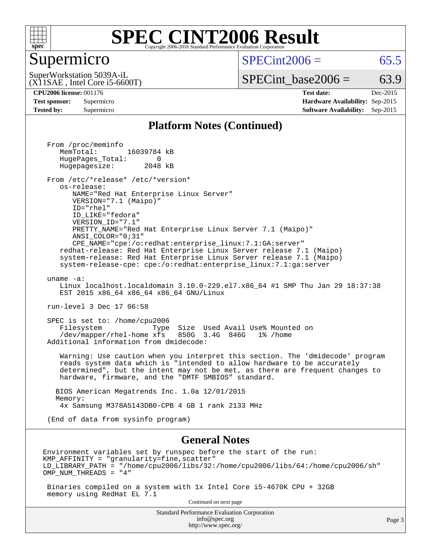

#### Supermicro

 $SPECint2006 = 65.5$  $SPECint2006 = 65.5$ 

(X11SAE , Intel Core i5-6600T) SuperWorkstation 5039A-iL

 $SPECTnt\_base2006 = 63.9$ 

**[CPU2006 license:](http://www.spec.org/auto/cpu2006/Docs/result-fields.html#CPU2006license)** 001176 **[Test date:](http://www.spec.org/auto/cpu2006/Docs/result-fields.html#Testdate)** Dec-2015 **[Test sponsor:](http://www.spec.org/auto/cpu2006/Docs/result-fields.html#Testsponsor)** Supermicro **[Hardware Availability:](http://www.spec.org/auto/cpu2006/Docs/result-fields.html#HardwareAvailability)** Sep-2015 **[Tested by:](http://www.spec.org/auto/cpu2006/Docs/result-fields.html#Testedby)** Supermicro **Supermicro [Software Availability:](http://www.spec.org/auto/cpu2006/Docs/result-fields.html#SoftwareAvailability)** Sep-2015

#### **[Platform Notes \(Continued\)](http://www.spec.org/auto/cpu2006/Docs/result-fields.html#PlatformNotes)**

 From /proc/meminfo MemTotal: 16039784 kB HugePages\_Total: 0<br>Hugepagesize: 2048 kB Hugepagesize: From /etc/\*release\* /etc/\*version\* os-release: NAME="Red Hat Enterprise Linux Server" VERSION="7.1 (Maipo)" ID="rhel" ID\_LIKE="fedora" VERSION\_ID="7.1" PRETTY\_NAME="Red Hat Enterprise Linux Server 7.1 (Maipo)" ANSI\_COLOR="0;31" CPE\_NAME="cpe:/o:redhat:enterprise\_linux:7.1:GA:server" redhat-release: Red Hat Enterprise Linux Server release 7.1 (Maipo) system-release: Red Hat Enterprise Linux Server release 7.1 (Maipo) system-release-cpe: cpe:/o:redhat:enterprise\_linux:7.1:ga:server uname -a: Linux localhost.localdomain 3.10.0-229.el7.x86\_64 #1 SMP Thu Jan 29 18:37:38 EST 2015 x86\_64 x86\_64 x86\_64 GNU/Linux run-level 3 Dec 17 06:58 SPEC is set to: /home/cpu2006 Filesystem Type Size Used Avail Use% Mounted on /dev/mapper/rhel-home xfs 850G 3.4G 846G 1% /home Additional information from dmidecode: Warning: Use caution when you interpret this section. The 'dmidecode' program reads system data which is "intended to allow hardware to be accurately determined", but the intent may not be met, as there are frequent changes to hardware, firmware, and the "DMTF SMBIOS" standard. BIOS American Megatrends Inc. 1.0a 12/01/2015 Memory: 4x Samsung M378A5143DB0-CPB 4 GB 1 rank 2133 MHz (End of data from sysinfo program) **[General Notes](http://www.spec.org/auto/cpu2006/Docs/result-fields.html#GeneralNotes)** Environment variables set by runspec before the start of the run:  $KMP$  AFFINITY = "granularity=fine, scatter" LD\_LIBRARY\_PATH = "/home/cpu2006/libs/32:/home/cpu2006/libs/64:/home/cpu2006/sh" OMP\_NUM\_THREADS = "4" Binaries compiled on a system with 1x Intel Core i5-4670K CPU + 32GB memory using RedHat EL 7.1 Continued on next page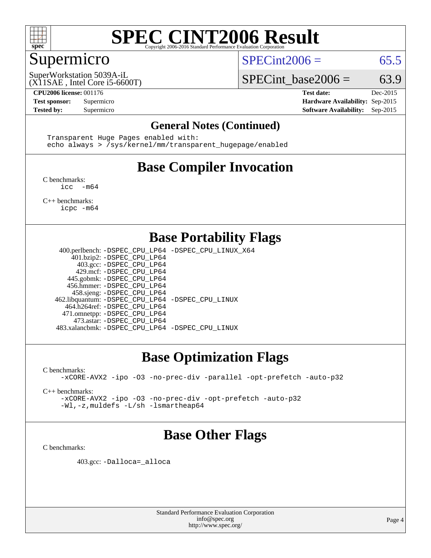

## Supermicro

 $SPECint2006 = 65.5$  $SPECint2006 = 65.5$ 

(X11SAE , Intel Core i5-6600T) SuperWorkstation 5039A-iL

SPECint base2006 =  $63.9$ 

**[CPU2006 license:](http://www.spec.org/auto/cpu2006/Docs/result-fields.html#CPU2006license)** 001176 **[Test date:](http://www.spec.org/auto/cpu2006/Docs/result-fields.html#Testdate)** Dec-2015 **[Test sponsor:](http://www.spec.org/auto/cpu2006/Docs/result-fields.html#Testsponsor)** Supermicro **[Hardware Availability:](http://www.spec.org/auto/cpu2006/Docs/result-fields.html#HardwareAvailability)** Sep-2015 **[Tested by:](http://www.spec.org/auto/cpu2006/Docs/result-fields.html#Testedby)** Supermicro **Supermicro [Software Availability:](http://www.spec.org/auto/cpu2006/Docs/result-fields.html#SoftwareAvailability)** Sep-2015

#### **[General Notes \(Continued\)](http://www.spec.org/auto/cpu2006/Docs/result-fields.html#GeneralNotes)**

 Transparent Huge Pages enabled with: echo always > /sys/kernel/mm/transparent\_hugepage/enabled

## **[Base Compiler Invocation](http://www.spec.org/auto/cpu2006/Docs/result-fields.html#BaseCompilerInvocation)**

[C benchmarks](http://www.spec.org/auto/cpu2006/Docs/result-fields.html#Cbenchmarks):  $inc - m64$ 

[C++ benchmarks:](http://www.spec.org/auto/cpu2006/Docs/result-fields.html#CXXbenchmarks) [icpc -m64](http://www.spec.org/cpu2006/results/res2016q1/cpu2006-20151223-38508.flags.html#user_CXXbase_intel_icpc_64bit_fc66a5337ce925472a5c54ad6a0de310)

#### **[Base Portability Flags](http://www.spec.org/auto/cpu2006/Docs/result-fields.html#BasePortabilityFlags)**

 400.perlbench: [-DSPEC\\_CPU\\_LP64](http://www.spec.org/cpu2006/results/res2016q1/cpu2006-20151223-38508.flags.html#b400.perlbench_basePORTABILITY_DSPEC_CPU_LP64) [-DSPEC\\_CPU\\_LINUX\\_X64](http://www.spec.org/cpu2006/results/res2016q1/cpu2006-20151223-38508.flags.html#b400.perlbench_baseCPORTABILITY_DSPEC_CPU_LINUX_X64) 401.bzip2: [-DSPEC\\_CPU\\_LP64](http://www.spec.org/cpu2006/results/res2016q1/cpu2006-20151223-38508.flags.html#suite_basePORTABILITY401_bzip2_DSPEC_CPU_LP64) 403.gcc: [-DSPEC\\_CPU\\_LP64](http://www.spec.org/cpu2006/results/res2016q1/cpu2006-20151223-38508.flags.html#suite_basePORTABILITY403_gcc_DSPEC_CPU_LP64) 429.mcf: [-DSPEC\\_CPU\\_LP64](http://www.spec.org/cpu2006/results/res2016q1/cpu2006-20151223-38508.flags.html#suite_basePORTABILITY429_mcf_DSPEC_CPU_LP64) 445.gobmk: [-DSPEC\\_CPU\\_LP64](http://www.spec.org/cpu2006/results/res2016q1/cpu2006-20151223-38508.flags.html#suite_basePORTABILITY445_gobmk_DSPEC_CPU_LP64) 456.hmmer: [-DSPEC\\_CPU\\_LP64](http://www.spec.org/cpu2006/results/res2016q1/cpu2006-20151223-38508.flags.html#suite_basePORTABILITY456_hmmer_DSPEC_CPU_LP64) 458.sjeng: [-DSPEC\\_CPU\\_LP64](http://www.spec.org/cpu2006/results/res2016q1/cpu2006-20151223-38508.flags.html#suite_basePORTABILITY458_sjeng_DSPEC_CPU_LP64) 462.libquantum: [-DSPEC\\_CPU\\_LP64](http://www.spec.org/cpu2006/results/res2016q1/cpu2006-20151223-38508.flags.html#suite_basePORTABILITY462_libquantum_DSPEC_CPU_LP64) [-DSPEC\\_CPU\\_LINUX](http://www.spec.org/cpu2006/results/res2016q1/cpu2006-20151223-38508.flags.html#b462.libquantum_baseCPORTABILITY_DSPEC_CPU_LINUX) 464.h264ref: [-DSPEC\\_CPU\\_LP64](http://www.spec.org/cpu2006/results/res2016q1/cpu2006-20151223-38508.flags.html#suite_basePORTABILITY464_h264ref_DSPEC_CPU_LP64) 471.omnetpp: [-DSPEC\\_CPU\\_LP64](http://www.spec.org/cpu2006/results/res2016q1/cpu2006-20151223-38508.flags.html#suite_basePORTABILITY471_omnetpp_DSPEC_CPU_LP64) 473.astar: [-DSPEC\\_CPU\\_LP64](http://www.spec.org/cpu2006/results/res2016q1/cpu2006-20151223-38508.flags.html#suite_basePORTABILITY473_astar_DSPEC_CPU_LP64) 483.xalancbmk: [-DSPEC\\_CPU\\_LP64](http://www.spec.org/cpu2006/results/res2016q1/cpu2006-20151223-38508.flags.html#suite_basePORTABILITY483_xalancbmk_DSPEC_CPU_LP64) [-DSPEC\\_CPU\\_LINUX](http://www.spec.org/cpu2006/results/res2016q1/cpu2006-20151223-38508.flags.html#b483.xalancbmk_baseCXXPORTABILITY_DSPEC_CPU_LINUX)

## **[Base Optimization Flags](http://www.spec.org/auto/cpu2006/Docs/result-fields.html#BaseOptimizationFlags)**

[C benchmarks](http://www.spec.org/auto/cpu2006/Docs/result-fields.html#Cbenchmarks):

[-xCORE-AVX2](http://www.spec.org/cpu2006/results/res2016q1/cpu2006-20151223-38508.flags.html#user_CCbase_f-xAVX2_5f5fc0cbe2c9f62c816d3e45806c70d7) [-ipo](http://www.spec.org/cpu2006/results/res2016q1/cpu2006-20151223-38508.flags.html#user_CCbase_f-ipo) [-O3](http://www.spec.org/cpu2006/results/res2016q1/cpu2006-20151223-38508.flags.html#user_CCbase_f-O3) [-no-prec-div](http://www.spec.org/cpu2006/results/res2016q1/cpu2006-20151223-38508.flags.html#user_CCbase_f-no-prec-div) [-parallel](http://www.spec.org/cpu2006/results/res2016q1/cpu2006-20151223-38508.flags.html#user_CCbase_f-parallel) [-opt-prefetch](http://www.spec.org/cpu2006/results/res2016q1/cpu2006-20151223-38508.flags.html#user_CCbase_f-opt-prefetch) [-auto-p32](http://www.spec.org/cpu2006/results/res2016q1/cpu2006-20151223-38508.flags.html#user_CCbase_f-auto-p32)

[C++ benchmarks:](http://www.spec.org/auto/cpu2006/Docs/result-fields.html#CXXbenchmarks)

[-xCORE-AVX2](http://www.spec.org/cpu2006/results/res2016q1/cpu2006-20151223-38508.flags.html#user_CXXbase_f-xAVX2_5f5fc0cbe2c9f62c816d3e45806c70d7) [-ipo](http://www.spec.org/cpu2006/results/res2016q1/cpu2006-20151223-38508.flags.html#user_CXXbase_f-ipo) [-O3](http://www.spec.org/cpu2006/results/res2016q1/cpu2006-20151223-38508.flags.html#user_CXXbase_f-O3) [-no-prec-div](http://www.spec.org/cpu2006/results/res2016q1/cpu2006-20151223-38508.flags.html#user_CXXbase_f-no-prec-div) [-opt-prefetch](http://www.spec.org/cpu2006/results/res2016q1/cpu2006-20151223-38508.flags.html#user_CXXbase_f-opt-prefetch) [-auto-p32](http://www.spec.org/cpu2006/results/res2016q1/cpu2006-20151223-38508.flags.html#user_CXXbase_f-auto-p32) [-Wl,-z,muldefs](http://www.spec.org/cpu2006/results/res2016q1/cpu2006-20151223-38508.flags.html#user_CXXbase_link_force_multiple1_74079c344b956b9658436fd1b6dd3a8a) [-L/sh -lsmartheap64](http://www.spec.org/cpu2006/results/res2016q1/cpu2006-20151223-38508.flags.html#user_CXXbase_SmartHeap64_ed4ef857ce90951921efb0d91eb88472)

## **[Base Other Flags](http://www.spec.org/auto/cpu2006/Docs/result-fields.html#BaseOtherFlags)**

[C benchmarks](http://www.spec.org/auto/cpu2006/Docs/result-fields.html#Cbenchmarks):

403.gcc: [-Dalloca=\\_alloca](http://www.spec.org/cpu2006/results/res2016q1/cpu2006-20151223-38508.flags.html#b403.gcc_baseEXTRA_CFLAGS_Dalloca_be3056838c12de2578596ca5467af7f3)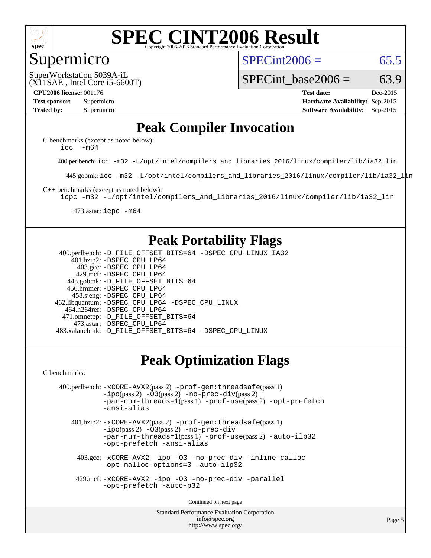

#### Supermicro

 $SPECint2006 = 65.5$  $SPECint2006 = 65.5$ 

(X11SAE , Intel Core i5-6600T) SuperWorkstation 5039A-iL

SPECint base2006 =  $63.9$ 

**[CPU2006 license:](http://www.spec.org/auto/cpu2006/Docs/result-fields.html#CPU2006license)** 001176 **[Test date:](http://www.spec.org/auto/cpu2006/Docs/result-fields.html#Testdate)** Dec-2015 **[Test sponsor:](http://www.spec.org/auto/cpu2006/Docs/result-fields.html#Testsponsor)** Supermicro **[Hardware Availability:](http://www.spec.org/auto/cpu2006/Docs/result-fields.html#HardwareAvailability)** Sep-2015 **[Tested by:](http://www.spec.org/auto/cpu2006/Docs/result-fields.html#Testedby)** Supermicro **Supermicro [Software Availability:](http://www.spec.org/auto/cpu2006/Docs/result-fields.html#SoftwareAvailability)** Sep-2015

#### **[Peak Compiler Invocation](http://www.spec.org/auto/cpu2006/Docs/result-fields.html#PeakCompilerInvocation)**

[C benchmarks \(except as noted below\)](http://www.spec.org/auto/cpu2006/Docs/result-fields.html#Cbenchmarksexceptasnotedbelow): [icc -m64](http://www.spec.org/cpu2006/results/res2016q1/cpu2006-20151223-38508.flags.html#user_CCpeak_intel_icc_64bit_f346026e86af2a669e726fe758c88044)

400.perlbench: [icc -m32 -L/opt/intel/compilers\\_and\\_libraries\\_2016/linux/compiler/lib/ia32\\_lin](http://www.spec.org/cpu2006/results/res2016q1/cpu2006-20151223-38508.flags.html#user_peakCCLD400_perlbench_intel_icc_e10256ba5924b668798078a321b0cb3f)

445.gobmk: [icc -m32 -L/opt/intel/compilers\\_and\\_libraries\\_2016/linux/compiler/lib/ia32\\_lin](http://www.spec.org/cpu2006/results/res2016q1/cpu2006-20151223-38508.flags.html#user_peakCCLD445_gobmk_intel_icc_e10256ba5924b668798078a321b0cb3f)

[C++ benchmarks \(except as noted below\):](http://www.spec.org/auto/cpu2006/Docs/result-fields.html#CXXbenchmarksexceptasnotedbelow)

[icpc -m32 -L/opt/intel/compilers\\_and\\_libraries\\_2016/linux/compiler/lib/ia32\\_lin](http://www.spec.org/cpu2006/results/res2016q1/cpu2006-20151223-38508.flags.html#user_CXXpeak_intel_icpc_b4f50a394bdb4597aa5879c16bc3f5c5)

473.astar: [icpc -m64](http://www.spec.org/cpu2006/results/res2016q1/cpu2006-20151223-38508.flags.html#user_peakCXXLD473_astar_intel_icpc_64bit_fc66a5337ce925472a5c54ad6a0de310)

#### **[Peak Portability Flags](http://www.spec.org/auto/cpu2006/Docs/result-fields.html#PeakPortabilityFlags)**

 400.perlbench: [-D\\_FILE\\_OFFSET\\_BITS=64](http://www.spec.org/cpu2006/results/res2016q1/cpu2006-20151223-38508.flags.html#user_peakPORTABILITY400_perlbench_file_offset_bits_64_438cf9856305ebd76870a2c6dc2689ab) [-DSPEC\\_CPU\\_LINUX\\_IA32](http://www.spec.org/cpu2006/results/res2016q1/cpu2006-20151223-38508.flags.html#b400.perlbench_peakCPORTABILITY_DSPEC_CPU_LINUX_IA32) 401.bzip2: [-DSPEC\\_CPU\\_LP64](http://www.spec.org/cpu2006/results/res2016q1/cpu2006-20151223-38508.flags.html#suite_peakPORTABILITY401_bzip2_DSPEC_CPU_LP64) 403.gcc: [-DSPEC\\_CPU\\_LP64](http://www.spec.org/cpu2006/results/res2016q1/cpu2006-20151223-38508.flags.html#suite_peakPORTABILITY403_gcc_DSPEC_CPU_LP64) 429.mcf: [-DSPEC\\_CPU\\_LP64](http://www.spec.org/cpu2006/results/res2016q1/cpu2006-20151223-38508.flags.html#suite_peakPORTABILITY429_mcf_DSPEC_CPU_LP64) 445.gobmk: [-D\\_FILE\\_OFFSET\\_BITS=64](http://www.spec.org/cpu2006/results/res2016q1/cpu2006-20151223-38508.flags.html#user_peakPORTABILITY445_gobmk_file_offset_bits_64_438cf9856305ebd76870a2c6dc2689ab) 456.hmmer: [-DSPEC\\_CPU\\_LP64](http://www.spec.org/cpu2006/results/res2016q1/cpu2006-20151223-38508.flags.html#suite_peakPORTABILITY456_hmmer_DSPEC_CPU_LP64) 458.sjeng: [-DSPEC\\_CPU\\_LP64](http://www.spec.org/cpu2006/results/res2016q1/cpu2006-20151223-38508.flags.html#suite_peakPORTABILITY458_sjeng_DSPEC_CPU_LP64) 462.libquantum: [-DSPEC\\_CPU\\_LP64](http://www.spec.org/cpu2006/results/res2016q1/cpu2006-20151223-38508.flags.html#suite_peakPORTABILITY462_libquantum_DSPEC_CPU_LP64) [-DSPEC\\_CPU\\_LINUX](http://www.spec.org/cpu2006/results/res2016q1/cpu2006-20151223-38508.flags.html#b462.libquantum_peakCPORTABILITY_DSPEC_CPU_LINUX) 464.h264ref: [-DSPEC\\_CPU\\_LP64](http://www.spec.org/cpu2006/results/res2016q1/cpu2006-20151223-38508.flags.html#suite_peakPORTABILITY464_h264ref_DSPEC_CPU_LP64) 471.omnetpp: [-D\\_FILE\\_OFFSET\\_BITS=64](http://www.spec.org/cpu2006/results/res2016q1/cpu2006-20151223-38508.flags.html#user_peakPORTABILITY471_omnetpp_file_offset_bits_64_438cf9856305ebd76870a2c6dc2689ab) 473.astar: [-DSPEC\\_CPU\\_LP64](http://www.spec.org/cpu2006/results/res2016q1/cpu2006-20151223-38508.flags.html#suite_peakPORTABILITY473_astar_DSPEC_CPU_LP64) 483.xalancbmk: [-D\\_FILE\\_OFFSET\\_BITS=64](http://www.spec.org/cpu2006/results/res2016q1/cpu2006-20151223-38508.flags.html#user_peakPORTABILITY483_xalancbmk_file_offset_bits_64_438cf9856305ebd76870a2c6dc2689ab) [-DSPEC\\_CPU\\_LINUX](http://www.spec.org/cpu2006/results/res2016q1/cpu2006-20151223-38508.flags.html#b483.xalancbmk_peakCXXPORTABILITY_DSPEC_CPU_LINUX)

#### **[Peak Optimization Flags](http://www.spec.org/auto/cpu2006/Docs/result-fields.html#PeakOptimizationFlags)**

[C benchmarks](http://www.spec.org/auto/cpu2006/Docs/result-fields.html#Cbenchmarks):

```
 400.perlbench: -xCORE-AVX2(pass 2) -prof-gen:threadsafe(pass 1)
-no-prec-div(pass 2)-par-num-threads=1(pass 1) -prof-use(pass 2) -opt-prefetch
-ansi-alias
```
 401.bzip2: [-xCORE-AVX2](http://www.spec.org/cpu2006/results/res2016q1/cpu2006-20151223-38508.flags.html#user_peakPASS2_CFLAGSPASS2_LDCFLAGS401_bzip2_f-xAVX2_5f5fc0cbe2c9f62c816d3e45806c70d7)(pass 2) [-prof-gen:threadsafe](http://www.spec.org/cpu2006/results/res2016q1/cpu2006-20151223-38508.flags.html#user_peakPASS1_CFLAGSPASS1_LDCFLAGS401_bzip2_prof_gen_21a26eb79f378b550acd7bec9fe4467a)(pass 1)  $-i\text{po}(pass 2) -03(pass 2) -no-prec-div$  $-i\text{po}(pass 2) -03(pass 2) -no-prec-div$ [-par-num-threads=1](http://www.spec.org/cpu2006/results/res2016q1/cpu2006-20151223-38508.flags.html#user_peakPASS1_CFLAGSPASS1_LDCFLAGS401_bzip2_par_num_threads_786a6ff141b4e9e90432e998842df6c2)(pass 1) [-prof-use](http://www.spec.org/cpu2006/results/res2016q1/cpu2006-20151223-38508.flags.html#user_peakPASS2_CFLAGSPASS2_LDCFLAGS401_bzip2_prof_use_bccf7792157ff70d64e32fe3e1250b55)(pass 2) [-auto-ilp32](http://www.spec.org/cpu2006/results/res2016q1/cpu2006-20151223-38508.flags.html#user_peakCOPTIMIZE401_bzip2_f-auto-ilp32) [-opt-prefetch](http://www.spec.org/cpu2006/results/res2016q1/cpu2006-20151223-38508.flags.html#user_peakCOPTIMIZE401_bzip2_f-opt-prefetch) [-ansi-alias](http://www.spec.org/cpu2006/results/res2016q1/cpu2006-20151223-38508.flags.html#user_peakCOPTIMIZE401_bzip2_f-ansi-alias)

 403.gcc: [-xCORE-AVX2](http://www.spec.org/cpu2006/results/res2016q1/cpu2006-20151223-38508.flags.html#user_peakCOPTIMIZE403_gcc_f-xAVX2_5f5fc0cbe2c9f62c816d3e45806c70d7) [-ipo](http://www.spec.org/cpu2006/results/res2016q1/cpu2006-20151223-38508.flags.html#user_peakCOPTIMIZE403_gcc_f-ipo) [-O3](http://www.spec.org/cpu2006/results/res2016q1/cpu2006-20151223-38508.flags.html#user_peakCOPTIMIZE403_gcc_f-O3) [-no-prec-div](http://www.spec.org/cpu2006/results/res2016q1/cpu2006-20151223-38508.flags.html#user_peakCOPTIMIZE403_gcc_f-no-prec-div) [-inline-calloc](http://www.spec.org/cpu2006/results/res2016q1/cpu2006-20151223-38508.flags.html#user_peakCOPTIMIZE403_gcc_f-inline-calloc) [-opt-malloc-options=3](http://www.spec.org/cpu2006/results/res2016q1/cpu2006-20151223-38508.flags.html#user_peakCOPTIMIZE403_gcc_f-opt-malloc-options_13ab9b803cf986b4ee62f0a5998c2238) [-auto-ilp32](http://www.spec.org/cpu2006/results/res2016q1/cpu2006-20151223-38508.flags.html#user_peakCOPTIMIZE403_gcc_f-auto-ilp32)

 429.mcf: [-xCORE-AVX2](http://www.spec.org/cpu2006/results/res2016q1/cpu2006-20151223-38508.flags.html#user_peakCOPTIMIZE429_mcf_f-xAVX2_5f5fc0cbe2c9f62c816d3e45806c70d7) [-ipo](http://www.spec.org/cpu2006/results/res2016q1/cpu2006-20151223-38508.flags.html#user_peakCOPTIMIZE429_mcf_f-ipo) [-O3](http://www.spec.org/cpu2006/results/res2016q1/cpu2006-20151223-38508.flags.html#user_peakCOPTIMIZE429_mcf_f-O3) [-no-prec-div](http://www.spec.org/cpu2006/results/res2016q1/cpu2006-20151223-38508.flags.html#user_peakCOPTIMIZE429_mcf_f-no-prec-div) [-parallel](http://www.spec.org/cpu2006/results/res2016q1/cpu2006-20151223-38508.flags.html#user_peakCOPTIMIZE429_mcf_f-parallel) [-opt-prefetch](http://www.spec.org/cpu2006/results/res2016q1/cpu2006-20151223-38508.flags.html#user_peakCOPTIMIZE429_mcf_f-opt-prefetch) [-auto-p32](http://www.spec.org/cpu2006/results/res2016q1/cpu2006-20151223-38508.flags.html#user_peakCOPTIMIZE429_mcf_f-auto-p32)

Continued on next page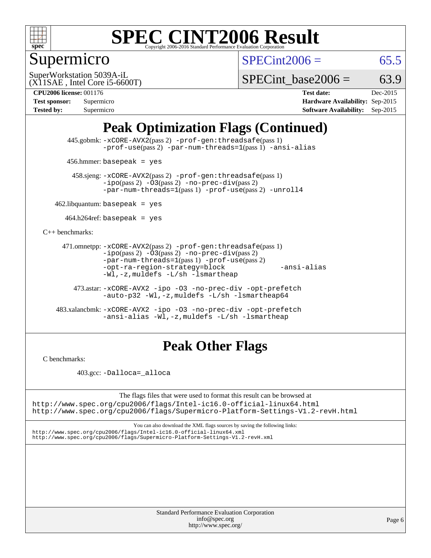

## Supermicro

 $SPECint2006 = 65.5$  $SPECint2006 = 65.5$ 

(X11SAE , Intel Core i5-6600T) SuperWorkstation 5039A-iL

SPECint base2006 =  $63.9$ 

**[CPU2006 license:](http://www.spec.org/auto/cpu2006/Docs/result-fields.html#CPU2006license)** 001176 **[Test date:](http://www.spec.org/auto/cpu2006/Docs/result-fields.html#Testdate)** Dec-2015 **[Test sponsor:](http://www.spec.org/auto/cpu2006/Docs/result-fields.html#Testsponsor)** Supermicro **[Hardware Availability:](http://www.spec.org/auto/cpu2006/Docs/result-fields.html#HardwareAvailability)** Sep-2015 **[Tested by:](http://www.spec.org/auto/cpu2006/Docs/result-fields.html#Testedby)** Supermicro **Supermicro [Software Availability:](http://www.spec.org/auto/cpu2006/Docs/result-fields.html#SoftwareAvailability)** Sep-2015

## **[Peak Optimization Flags \(Continued\)](http://www.spec.org/auto/cpu2006/Docs/result-fields.html#PeakOptimizationFlags)**

 445.gobmk: [-xCORE-AVX2](http://www.spec.org/cpu2006/results/res2016q1/cpu2006-20151223-38508.flags.html#user_peakPASS2_CFLAGSPASS2_LDCFLAGS445_gobmk_f-xAVX2_5f5fc0cbe2c9f62c816d3e45806c70d7)(pass 2) [-prof-gen:threadsafe](http://www.spec.org/cpu2006/results/res2016q1/cpu2006-20151223-38508.flags.html#user_peakPASS1_CFLAGSPASS1_LDCFLAGS445_gobmk_prof_gen_21a26eb79f378b550acd7bec9fe4467a)(pass 1) [-prof-use](http://www.spec.org/cpu2006/results/res2016q1/cpu2006-20151223-38508.flags.html#user_peakPASS2_CFLAGSPASS2_LDCFLAGS445_gobmk_prof_use_bccf7792157ff70d64e32fe3e1250b55)(pass 2) [-par-num-threads=1](http://www.spec.org/cpu2006/results/res2016q1/cpu2006-20151223-38508.flags.html#user_peakPASS1_CFLAGSPASS1_LDCFLAGS445_gobmk_par_num_threads_786a6ff141b4e9e90432e998842df6c2)(pass 1) [-ansi-alias](http://www.spec.org/cpu2006/results/res2016q1/cpu2006-20151223-38508.flags.html#user_peakCOPTIMIZE445_gobmk_f-ansi-alias)

456.hmmer: basepeak = yes

 458.sjeng: [-xCORE-AVX2](http://www.spec.org/cpu2006/results/res2016q1/cpu2006-20151223-38508.flags.html#user_peakPASS2_CFLAGSPASS2_LDCFLAGS458_sjeng_f-xAVX2_5f5fc0cbe2c9f62c816d3e45806c70d7)(pass 2) [-prof-gen:threadsafe](http://www.spec.org/cpu2006/results/res2016q1/cpu2006-20151223-38508.flags.html#user_peakPASS1_CFLAGSPASS1_LDCFLAGS458_sjeng_prof_gen_21a26eb79f378b550acd7bec9fe4467a)(pass 1)  $-ipo(pass 2) -\overline{03(pass 2)}$  $-ipo(pass 2) -\overline{03(pass 2)}$  [-no-prec-div](http://www.spec.org/cpu2006/results/res2016q1/cpu2006-20151223-38508.flags.html#user_peakPASS2_CFLAGSPASS2_LDCFLAGS458_sjeng_f-no-prec-div)(pass 2) [-par-num-threads=1](http://www.spec.org/cpu2006/results/res2016q1/cpu2006-20151223-38508.flags.html#user_peakPASS1_CFLAGSPASS1_LDCFLAGS458_sjeng_par_num_threads_786a6ff141b4e9e90432e998842df6c2)(pass 1) [-prof-use](http://www.spec.org/cpu2006/results/res2016q1/cpu2006-20151223-38508.flags.html#user_peakPASS2_CFLAGSPASS2_LDCFLAGS458_sjeng_prof_use_bccf7792157ff70d64e32fe3e1250b55)(pass 2) [-unroll4](http://www.spec.org/cpu2006/results/res2016q1/cpu2006-20151223-38508.flags.html#user_peakCOPTIMIZE458_sjeng_f-unroll_4e5e4ed65b7fd20bdcd365bec371b81f)

 $462$ .libquantum: basepeak = yes

 $464.h264$ ref: basepeak = yes

[C++ benchmarks:](http://www.spec.org/auto/cpu2006/Docs/result-fields.html#CXXbenchmarks)

```
 471.omnetpp: -xCORE-AVX2(pass 2) -prof-gen:threadsafe(pass 1)
-i\text{po}(pass 2) -03(pass 2) -no-prec-div(pass 2)-par-num-threads=1(pass 1) -prof-use(pass 2)
-opt-ra-region-strategy=block -ansi-alias
-Wl,-z,muldefs -L/sh -lsmartheap
```
 473.astar: [-xCORE-AVX2](http://www.spec.org/cpu2006/results/res2016q1/cpu2006-20151223-38508.flags.html#user_peakCXXOPTIMIZE473_astar_f-xAVX2_5f5fc0cbe2c9f62c816d3e45806c70d7) [-ipo](http://www.spec.org/cpu2006/results/res2016q1/cpu2006-20151223-38508.flags.html#user_peakCXXOPTIMIZE473_astar_f-ipo) [-O3](http://www.spec.org/cpu2006/results/res2016q1/cpu2006-20151223-38508.flags.html#user_peakCXXOPTIMIZE473_astar_f-O3) [-no-prec-div](http://www.spec.org/cpu2006/results/res2016q1/cpu2006-20151223-38508.flags.html#user_peakCXXOPTIMIZE473_astar_f-no-prec-div) [-opt-prefetch](http://www.spec.org/cpu2006/results/res2016q1/cpu2006-20151223-38508.flags.html#user_peakCXXOPTIMIZE473_astar_f-opt-prefetch) [-auto-p32](http://www.spec.org/cpu2006/results/res2016q1/cpu2006-20151223-38508.flags.html#user_peakCXXOPTIMIZE473_astar_f-auto-p32) [-Wl,-z,muldefs](http://www.spec.org/cpu2006/results/res2016q1/cpu2006-20151223-38508.flags.html#user_peakEXTRA_LDFLAGS473_astar_link_force_multiple1_74079c344b956b9658436fd1b6dd3a8a) [-L/sh -lsmartheap64](http://www.spec.org/cpu2006/results/res2016q1/cpu2006-20151223-38508.flags.html#user_peakEXTRA_LIBS473_astar_SmartHeap64_ed4ef857ce90951921efb0d91eb88472)

 483.xalancbmk: [-xCORE-AVX2](http://www.spec.org/cpu2006/results/res2016q1/cpu2006-20151223-38508.flags.html#user_peakCXXOPTIMIZE483_xalancbmk_f-xAVX2_5f5fc0cbe2c9f62c816d3e45806c70d7) [-ipo](http://www.spec.org/cpu2006/results/res2016q1/cpu2006-20151223-38508.flags.html#user_peakCXXOPTIMIZE483_xalancbmk_f-ipo) [-O3](http://www.spec.org/cpu2006/results/res2016q1/cpu2006-20151223-38508.flags.html#user_peakCXXOPTIMIZE483_xalancbmk_f-O3) [-no-prec-div](http://www.spec.org/cpu2006/results/res2016q1/cpu2006-20151223-38508.flags.html#user_peakCXXOPTIMIZE483_xalancbmk_f-no-prec-div) [-opt-prefetch](http://www.spec.org/cpu2006/results/res2016q1/cpu2006-20151223-38508.flags.html#user_peakCXXOPTIMIZE483_xalancbmk_f-opt-prefetch) [-ansi-alias](http://www.spec.org/cpu2006/results/res2016q1/cpu2006-20151223-38508.flags.html#user_peakCXXOPTIMIZE483_xalancbmk_f-ansi-alias) [-Wl,-z,muldefs](http://www.spec.org/cpu2006/results/res2016q1/cpu2006-20151223-38508.flags.html#user_peakEXTRA_LDFLAGS483_xalancbmk_link_force_multiple1_74079c344b956b9658436fd1b6dd3a8a) [-L/sh -lsmartheap](http://www.spec.org/cpu2006/results/res2016q1/cpu2006-20151223-38508.flags.html#user_peakEXTRA_LIBS483_xalancbmk_SmartHeap_32f6c82aa1ed9c52345d30cf6e4a0499)

## **[Peak Other Flags](http://www.spec.org/auto/cpu2006/Docs/result-fields.html#PeakOtherFlags)**

[C benchmarks](http://www.spec.org/auto/cpu2006/Docs/result-fields.html#Cbenchmarks):

403.gcc: [-Dalloca=\\_alloca](http://www.spec.org/cpu2006/results/res2016q1/cpu2006-20151223-38508.flags.html#b403.gcc_peakEXTRA_CFLAGS_Dalloca_be3056838c12de2578596ca5467af7f3)

The flags files that were used to format this result can be browsed at <http://www.spec.org/cpu2006/flags/Intel-ic16.0-official-linux64.html>

<http://www.spec.org/cpu2006/flags/Supermicro-Platform-Settings-V1.2-revH.html>

You can also download the XML flags sources by saving the following links: <http://www.spec.org/cpu2006/flags/Intel-ic16.0-official-linux64.xml> <http://www.spec.org/cpu2006/flags/Supermicro-Platform-Settings-V1.2-revH.xml>